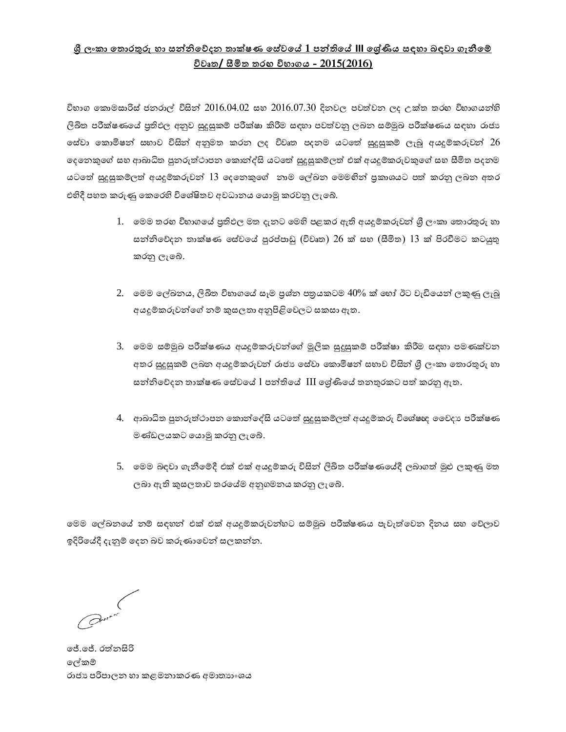## <u>ශී ලංකා තොරතුරු හා සත්තිවේදන තාක්ෂණ සේවයේ 1 පත්තියේ III ශේණිය සඳහා බඳවා ගැනීමේ</u> **විේෘක/ සීමික කුඟ ලංවිභතනස ලං- 20ප5(20ප6)**

විහාග කොමසාරිස් ජනරාල් විසින්  $2016.04.02$  සහ  $2016.07.30$  දිනවල පවත්වන ලද උක්ත තරහ විහාගයන්හි ලිඛිත පරීක්ෂණයේ පුතිඵල අනුව සුදුසුකම් පරීක්ෂා කිරීම සඳහා පවත්වනු ලබන සම්මුඛ පරීක්ෂණය සඳහා රාජා සේවා කොමිෂන් සහාව විසින් අනුමත කරන ලද විවෘත පදනම යටතේ සුදුසුකම් ලැබූ අයදුම්කරුවන්  $26$ ලෙනකුගේ සහ ආබාධිත පුනරුත්ථාපන කොන්ද්සි යටතේ සුදුසුකම්ලත් එක් අයදුම්කරුවකුගේ සහ සීමිත පදනම යටතේ සුදුසුකම්ලත් අයදුම්කරුවන්  $13$  දෙනෙකුගේ නාම ලේඛන මෙමහින් පුකාශයට පත් කරනු ලබන අතර එහිදී පහත කරුණු කෙරෙහි විශේෂිතව අවධානය යොමු කරවනු ලැබේ.

- 1. මෙම තරහ විහාගයේ පුතිඵල මත දැනට මෙහි පළකර ඇති අයදුම්කරුවන් ශී ලංකා තොරතුරු හා සන්නිවේදන තාක්ෂණ සේවයේ පුරප්පාඩු (විවෘත) 26 ක් සහ (සීමිත)  $13$  ක් පිරවීමට කටයුතු රනු ැකේ.
- $2.$  මෙම ලේඛනය, ලිඛිත විහාගයේ සෑම පුශ්න පතුයකටම  $40\%$  ක් හෝ ඊට වැඩියෙන් ලකුණු ලැබූ අයදූම්කරුවන්ගේ නම් කුසලතා අනුපිළිවෙලට සකසා ඇත.
- 3. මෙම සම්මුඛ පරීක්ෂණය අයදූම්කරුවන්ගේ මූලික සුදුසුකම් පරීක්ෂා කිරීම සඳහා පමණක්වන අතර සුදුසුකම් ලබන අයදුම්කරුවන් රාජා සේවා කොමිෂන් සභාව විසින් ශී ලංකා තොරතුරු හා සන්නිවේදන තාක්ෂණ සේවයේ 1 පන්තියේ III ශේණියේ තනතුරකට පත් කරනු ඇත.
- 4. අාබාධිත පුනරුත්ථාපන කොන්දේසි යටතේ සුදුසුකම්ලත් අයදුම්කරු විශේෂඥ වෛදා පරීක්ෂණ මණ්ඩලයකට යොමු කරනු ලැබේ.
- 5. මෙම බඳවා ගැනීමේදී එක් එක් අයදුම්කරු විසින් ලිඛිත පරීක්ෂණයේදී ලබාගත් මුළු ලකුණු මත ලබා ඇති කුසලතාව තරයේම අනුගමනය කරනු ලැබේ.

මෙම ලේඛනයේ නම් සඳහන් එක් එක් අයදුම්කරුවන්හට සම්මුඛ පරීක්ෂණය පැවැත්වෙන දිනය සහ වේලාව ඉදිරියේදී දැනුම් දෙන බව කරුණාවෙන් සලකන්න.

කේ.කේ. රත්නසිරි ලේකම් රාජා පරිපාලන හා කළමනාකරණ අමාතාහංශය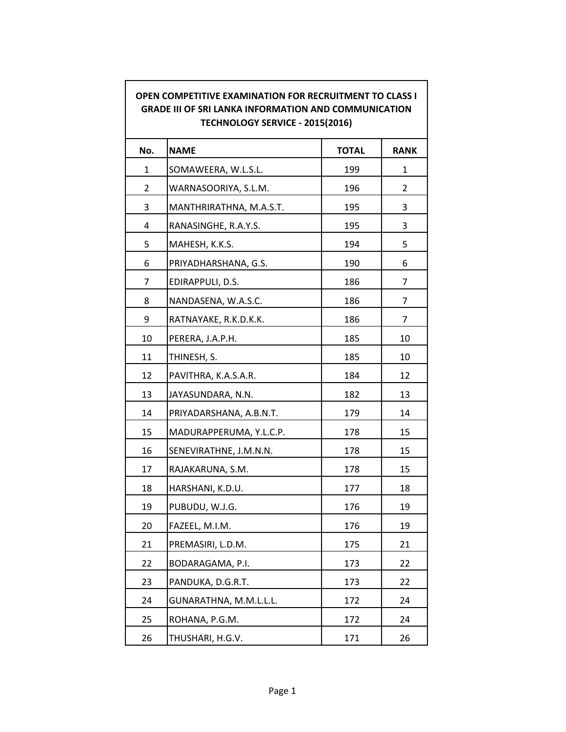| OPEN COMPETITIVE EXAMINATION FOR RECRUITMENT TO CLASS I<br><b>GRADE III OF SRI LANKA INFORMATION AND COMMUNICATION</b><br>TECHNOLOGY SERVICE - 2015(2016) |                         |              |                |  |  |
|-----------------------------------------------------------------------------------------------------------------------------------------------------------|-------------------------|--------------|----------------|--|--|
| No.                                                                                                                                                       | <b>NAME</b>             | <b>TOTAL</b> | <b>RANK</b>    |  |  |
| 1                                                                                                                                                         | SOMAWEERA, W.L.S.L.     | 199          | 1              |  |  |
| $\overline{2}$                                                                                                                                            | WARNASOORIYA, S.L.M.    | 196          | $\overline{2}$ |  |  |
| 3                                                                                                                                                         | MANTHRIRATHNA, M.A.S.T. | 195          | 3              |  |  |
| 4                                                                                                                                                         | RANASINGHE, R.A.Y.S.    | 195          | 3              |  |  |
| 5                                                                                                                                                         | MAHESH, K.K.S.          | 194          | 5              |  |  |
| 6                                                                                                                                                         | PRIYADHARSHANA, G.S.    | 190          | 6              |  |  |
| 7                                                                                                                                                         | EDIRAPPULI, D.S.        | 186          | 7              |  |  |
| 8                                                                                                                                                         | NANDASENA, W.A.S.C.     | 186          | 7              |  |  |
| 9                                                                                                                                                         | RATNAYAKE, R.K.D.K.K.   | 186          | 7              |  |  |
| 10                                                                                                                                                        | PERERA, J.A.P.H.        | 185          | 10             |  |  |
| 11                                                                                                                                                        | THINESH, S.             | 185          | 10             |  |  |
| 12                                                                                                                                                        | PAVITHRA, K.A.S.A.R.    | 184          | 12             |  |  |
| 13                                                                                                                                                        | JAYASUNDARA, N.N.       | 182          | 13             |  |  |
| 14                                                                                                                                                        | PRIYADARSHANA, A.B.N.T. | 179          | 14             |  |  |
| 15                                                                                                                                                        | MADURAPPERUMA, Y.L.C.P. | 178          | 15             |  |  |
| 16                                                                                                                                                        | SENEVIRATHNE, J.M.N.N.  | 178          | 15             |  |  |
| 17                                                                                                                                                        | RAJAKARUNA, S.M.        | 178          | 15             |  |  |
| 18                                                                                                                                                        | HARSHANI, K.D.U.        | 177          | 18             |  |  |
| 19                                                                                                                                                        | PUBUDU, W.J.G.          | 176          | 19             |  |  |
| 20                                                                                                                                                        | FAZEEL, M.I.M.          | 176          | 19             |  |  |
| 21                                                                                                                                                        | PREMASIRI, L.D.M.       | 175          | 21             |  |  |
| 22                                                                                                                                                        | BODARAGAMA, P.I.        | 173          | 22             |  |  |
| 23                                                                                                                                                        | PANDUKA, D.G.R.T.       | 173          | 22             |  |  |
| 24                                                                                                                                                        | GUNARATHNA, M.M.L.L.L.  | 172          | 24             |  |  |
| 25                                                                                                                                                        | ROHANA, P.G.M.          | 172          | 24             |  |  |
| 26                                                                                                                                                        | THUSHARI, H.G.V.        | 171          | 26             |  |  |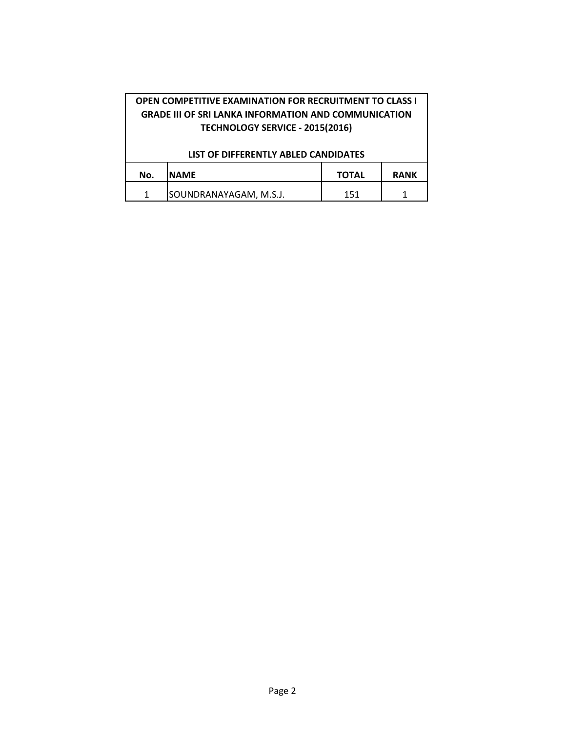| <b>OPEN COMPETITIVE EXAMINATION FOR RECRUITMENT TO CLASS I</b><br><b>GRADE III OF SRI LANKA INFORMATION AND COMMUNICATION</b><br>TECHNOLOGY SERVICE - 2015(2016) |                        |              |             |  |  |  |
|------------------------------------------------------------------------------------------------------------------------------------------------------------------|------------------------|--------------|-------------|--|--|--|
| LIST OF DIFFERENTLY ABLED CANDIDATES                                                                                                                             |                        |              |             |  |  |  |
| No.                                                                                                                                                              | <b>NAME</b>            | <b>TOTAL</b> | <b>RANK</b> |  |  |  |
| 1                                                                                                                                                                | SOUNDRANAYAGAM, M.S.J. | 151          |             |  |  |  |